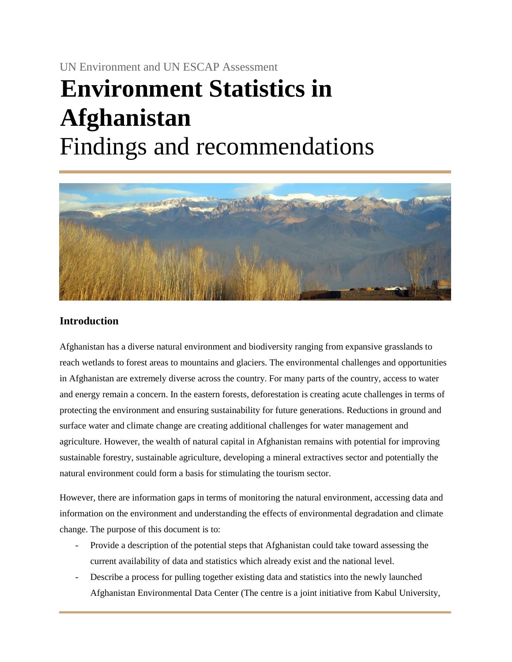# UN Environment and UN ESCAP Assessment **Environment Statistics in Afghanistan** Findings and recommendations



## **Introduction**

Afghanistan has a diverse natural environment and biodiversity ranging from expansive grasslands to reach wetlands to forest areas to mountains and glaciers. The environmental challenges and opportunities in Afghanistan are extremely diverse across the country. For many parts of the country, access to water and energy remain a concern. In the eastern forests, deforestation is creating acute challenges in terms of protecting the environment and ensuring sustainability for future generations. Reductions in ground and surface water and climate change are creating additional challenges for water management and agriculture. However, the wealth of natural capital in Afghanistan remains with potential for improving sustainable forestry, sustainable agriculture, developing a mineral extractives sector and potentially the natural environment could form a basis for stimulating the tourism sector.

However, there are information gaps in terms of monitoring the natural environment, accessing data and information on the environment and understanding the effects of environmental degradation and climate change. The purpose of this document is to:

- Provide a description of the potential steps that Afghanistan could take toward assessing the current availability of data and statistics which already exist and the national level.
- Describe a process for pulling together existing data and statistics into the newly launched Afghanistan Environmental Data Center (The centre is a joint initiative from Kabul University,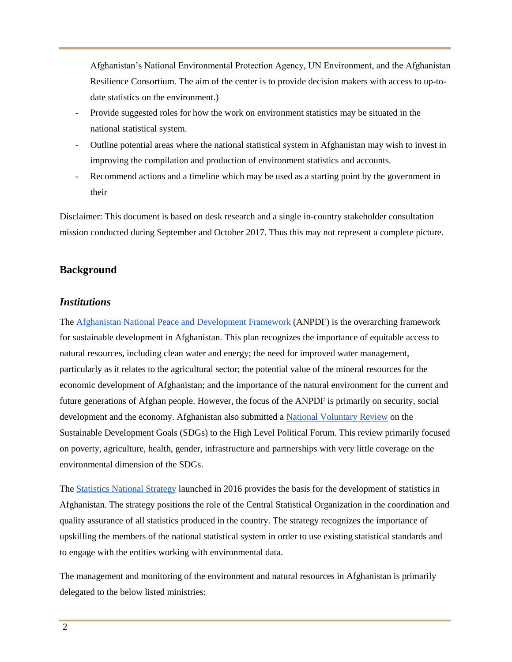Afghanistan's National Environmental Protection Agency, UN Environment, and the Afghanistan Resilience Consortium. The aim of the center is to provide decision makers with access to up-todate statistics on the environment.)

- Provide suggested roles for how the work on environment statistics may be situated in the national statistical system.
- Outline potential areas where the national statistical system in Afghanistan may wish to invest in improving the compilation and production of environment statistics and accounts.
- Recommend actions and a timeline which may be used as a starting point by the government in their

Disclaimer: This document is based on desk research and a single in-country stakeholder consultation mission conducted during September and October 2017. Thus this may not represent a complete picture.

## **Background**

## *Institutions*

The [Afghanistan National Peace and Development Framework \(](http://extwprlegs1.fao.org/docs/pdf/afg148215.pdf)ANPDF) is the overarching framework for sustainable development in Afghanistan. This plan recognizes the importance of equitable access to natural resources, including clean water and energy; the need for improved water management, particularly as it relates to the agricultural sector; the potential value of the mineral resources for the economic development of Afghanistan; and the importance of the natural environment for the current and future generations of Afghan people. However, the focus of the ANPDF is primarily on security, social development and the economy. Afghanistan also submitted a [National Voluntary Review](https://sustainabledevelopment.un.org/content/documents/16277Afghanistan.pdf) on the Sustainable Development Goals (SDGs) to the High Level Political Forum. This review primarily focused on poverty, agriculture, health, gender, infrastructure and partnerships with very little coverage on the environmental dimension of the SDGs.

The [Statistics National Strategy](http://cso.gov.af/Content/files/%D8%B3%D8%AA%D8%B1%D8%A7%D8%AA%DB%8C%DA%98%DB%8C%20%D9%85%D9%84%DB%8C%20%D8%A7%D8%AD%D8%B5%D8%A7%D8%A6%DB%8C%D9%87/Statistics%20National%20Strategy%20English.pdf) launched in 2016 provides the basis for the development of statistics in Afghanistan. The strategy positions the role of the Central Statistical Organization in the coordination and quality assurance of all statistics produced in the country. The strategy recognizes the importance of upskilling the members of the national statistical system in order to use existing statistical standards and to engage with the entities working with environmental data.

The management and monitoring of the environment and natural resources in Afghanistan is primarily delegated to the below listed ministries: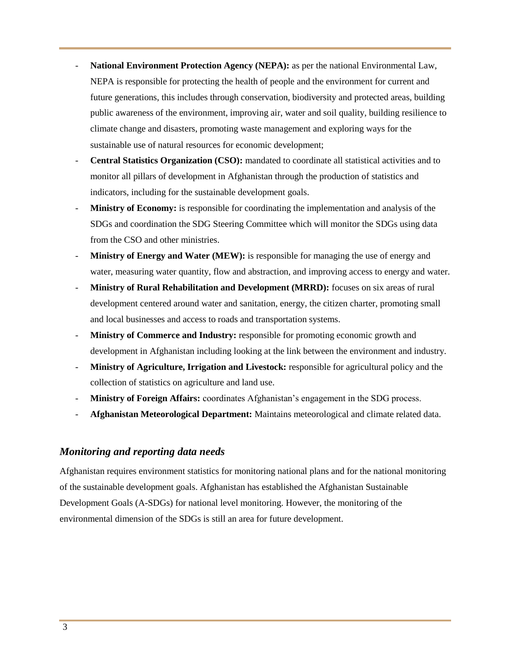- **National Environment Protection Agency (NEPA):** as per the national Environmental Law, NEPA is responsible for protecting the health of people and the environment for current and future generations, this includes through conservation, biodiversity and protected areas, building public awareness of the environment, improving air, water and soil quality, building resilience to climate change and disasters, promoting waste management and exploring ways for the sustainable use of natural resources for economic development;
- **Central Statistics Organization (CSO):** mandated to coordinate all statistical activities and to monitor all pillars of development in Afghanistan through the production of statistics and indicators, including for the sustainable development goals.
- **Ministry of Economy:** is responsible for coordinating the implementation and analysis of the SDGs and coordination the SDG Steering Committee which will monitor the SDGs using data from the CSO and other ministries.
- **Ministry of Energy and Water (MEW):** is responsible for managing the use of energy and water, measuring water quantity, flow and abstraction, and improving access to energy and water.
- **Ministry of Rural Rehabilitation and Development (MRRD):** focuses on six areas of rural development centered around water and sanitation, energy, the citizen charter, promoting small and local businesses and access to roads and transportation systems.
- **Ministry of Commerce and Industry:** responsible for promoting economic growth and development in Afghanistan including looking at the link between the environment and industry.
- **Ministry of Agriculture, Irrigation and Livestock:** responsible for agricultural policy and the collection of statistics on agriculture and land use.
- **Ministry of Foreign Affairs:** coordinates Afghanistan's engagement in the SDG process.
- **Afghanistan Meteorological Department:** Maintains meteorological and climate related data.

## *Monitoring and reporting data needs*

Afghanistan requires environment statistics for monitoring national plans and for the national monitoring of the sustainable development goals. Afghanistan has established the Afghanistan Sustainable Development Goals (A-SDGs) for national level monitoring. However, the monitoring of the environmental dimension of the SDGs is still an area for future development.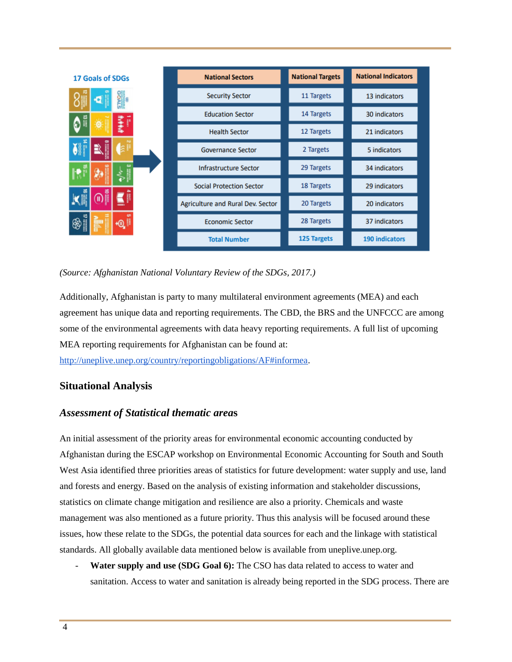| <b>17 Goals of SDGs</b> | <b>National Sectors</b>           | <b>National Targets</b> | <b>National Indicators</b> |
|-------------------------|-----------------------------------|-------------------------|----------------------------|
| 5                       | <b>Security Sector</b>            | 11 Targets              | 13 indicators              |
| p                       | <b>Education Sector</b>           | 14 Targets              | 30 indicators              |
|                         | <b>Health Sector</b>              | 12 Targets              | 21 indicators              |
| 或                       | <b>Governance Sector</b>          | 2 Targets               | 5 indicators               |
| <b>CO</b>               | <b>Infrastructure Sector</b>      | 29 Targets              | 34 indicators              |
|                         | <b>Social Protection Sector</b>   | 18 Targets              | 29 indicators              |
| Ш                       | Agriculture and Rural Dev. Sector | 20 Targets              | 20 indicators              |
| $+0.1$                  | <b>Economic Sector</b>            | 28 Targets              | 37 indicators              |
|                         | <b>Total Number</b>               | 125 Targets             | <b>190 indicators</b>      |

*(Source: Afghanistan National Voluntary Review of the SDGs, 2017.)*

Additionally, Afghanistan is party to many multilateral environment agreements (MEA) and each agreement has unique data and reporting requirements. The CBD, the BRS and the UNFCCC are among some of the environmental agreements with data heavy reporting requirements. A full list of upcoming MEA reporting requirements for Afghanistan can be found at:

[http://uneplive.unep.org/country/reportingobligations/AF#informea.](http://uneplive.unep.org/country/reportingobligations/AF#informea)

# **Situational Analysis**

## *Assessment of Statistical thematic area***s**

An initial assessment of the priority areas for environmental economic accounting conducted by Afghanistan during the ESCAP workshop on Environmental Economic Accounting for South and South West Asia identified three priorities areas of statistics for future development: water supply and use, land and forests and energy. Based on the analysis of existing information and stakeholder discussions, statistics on climate change mitigation and resilience are also a priority. Chemicals and waste management was also mentioned as a future priority. Thus this analysis will be focused around these issues, how these relate to the SDGs, the potential data sources for each and the linkage with statistical standards. All globally available data mentioned below is available from uneplive.unep.org.

Water supply and use (SDG Goal 6): The CSO has data related to access to water and sanitation. Access to water and sanitation is already being reported in the SDG process. There are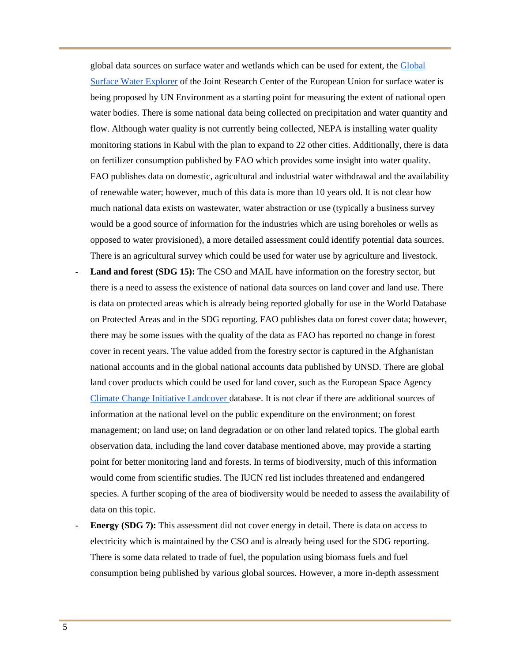global data sources on surface water and wetlands which can be used for extent, the [Global](https://global-surface-water.appspot.com/)  [Surface Water Explorer](https://global-surface-water.appspot.com/) of the Joint Research Center of the European Union for surface water is being proposed by UN Environment as a starting point for measuring the extent of national open water bodies. There is some national data being collected on precipitation and water quantity and flow. Although water quality is not currently being collected, NEPA is installing water quality monitoring stations in Kabul with the plan to expand to 22 other cities. Additionally, there is data on fertilizer consumption published by FAO which provides some insight into water quality. FAO publishes data on domestic, agricultural and industrial water withdrawal and the availability of renewable water; however, much of this data is more than 10 years old. It is not clear how much national data exists on wastewater, water abstraction or use (typically a business survey would be a good source of information for the industries which are using boreholes or wells as opposed to water provisioned), a more detailed assessment could identify potential data sources. There is an agricultural survey which could be used for water use by agriculture and livestock.

- Land and forest (SDG 15): The CSO and MAIL have information on the forestry sector, but there is a need to assess the existence of national data sources on land cover and land use. There is data on protected areas which is already being reported globally for use in the World Database on Protected Areas and in the SDG reporting. FAO publishes data on forest cover data; however, there may be some issues with the quality of the data as FAO has reported no change in forest cover in recent years. The value added from the forestry sector is captured in the Afghanistan national accounts and in the global national accounts data published by UNSD. There are global land cover products which could be used for land cover, such as the European Space Agency [Climate Change Initiative Landcover d](https://www.esa-landcover-cci.org/)atabase. It is not clear if there are additional sources of information at the national level on the public expenditure on the environment; on forest management; on land use; on land degradation or on other land related topics. The global earth observation data, including the land cover database mentioned above, may provide a starting point for better monitoring land and forests. In terms of biodiversity, much of this information would come from scientific studies. The IUCN red list includes threatened and endangered species. A further scoping of the area of biodiversity would be needed to assess the availability of data on this topic.
- **Energy (SDG 7):** This assessment did not cover energy in detail. There is data on access to electricity which is maintained by the CSO and is already being used for the SDG reporting. There is some data related to trade of fuel, the population using biomass fuels and fuel consumption being published by various global sources. However, a more in-depth assessment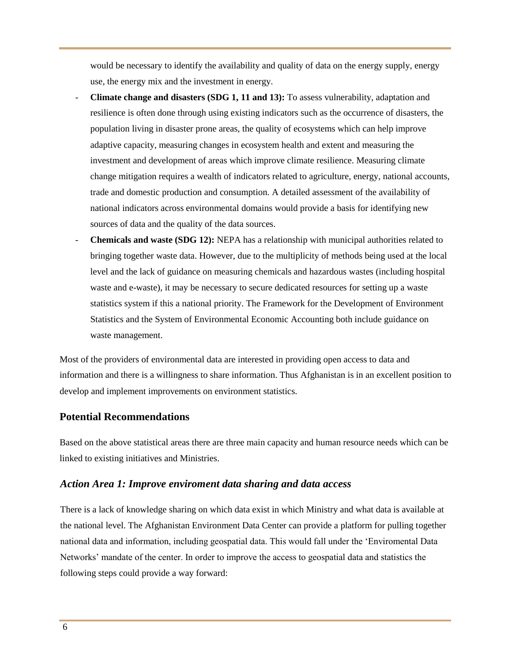would be necessary to identify the availability and quality of data on the energy supply, energy use, the energy mix and the investment in energy.

- **Climate change and disasters (SDG 1, 11 and 13):** To assess vulnerability, adaptation and resilience is often done through using existing indicators such as the occurrence of disasters, the population living in disaster prone areas, the quality of ecosystems which can help improve adaptive capacity, measuring changes in ecosystem health and extent and measuring the investment and development of areas which improve climate resilience. Measuring climate change mitigation requires a wealth of indicators related to agriculture, energy, national accounts, trade and domestic production and consumption. A detailed assessment of the availability of national indicators across environmental domains would provide a basis for identifying new sources of data and the quality of the data sources.
- **Chemicals and waste (SDG 12):** NEPA has a relationship with municipal authorities related to bringing together waste data. However, due to the multiplicity of methods being used at the local level and the lack of guidance on measuring chemicals and hazardous wastes (including hospital waste and e-waste), it may be necessary to secure dedicated resources for setting up a waste statistics system if this a national priority. The Framework for the Development of Environment Statistics and the System of Environmental Economic Accounting both include guidance on waste management.

Most of the providers of environmental data are interested in providing open access to data and information and there is a willingness to share information. Thus Afghanistan is in an excellent position to develop and implement improvements on environment statistics.

## **Potential Recommendations**

Based on the above statistical areas there are three main capacity and human resource needs which can be linked to existing initiatives and Ministries.

## *Action Area 1: Improve enviroment data sharing and data access*

There is a lack of knowledge sharing on which data exist in which Ministry and what data is available at the national level. The Afghanistan Environment Data Center can provide a platform for pulling together national data and information, including geospatial data. This would fall under the 'Enviromental Data Networks' mandate of the center. In order to improve the access to geospatial data and statistics the following steps could provide a way forward: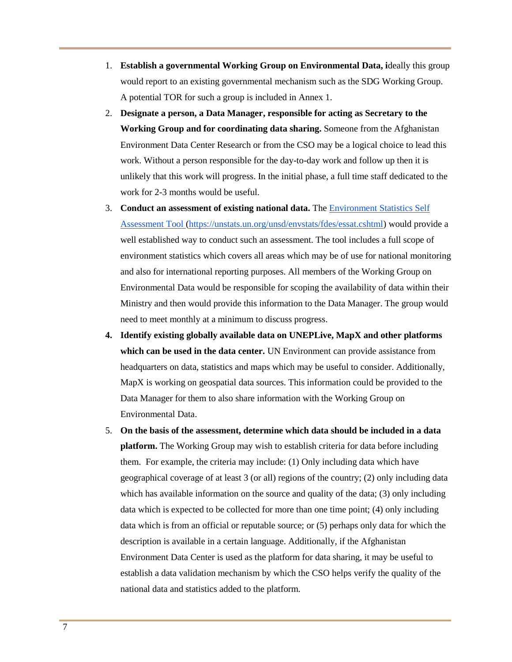- 1. **Establish a governmental Working Group on Environmental Data, i**deally this group would report to an existing governmental mechanism such as the SDG Working Group. A potential TOR for such a group is included in Annex 1.
- 2. **Designate a person, a Data Manager, responsible for acting as Secretary to the Working Group and for coordinating data sharing.** Someone from the Afghanistan Environment Data Center Research or from the CSO may be a logical choice to lead this work. Without a person responsible for the day-to-day work and follow up then it is unlikely that this work will progress. In the initial phase, a full time staff dedicated to the work for 2-3 months would be useful.
- 3. **Conduct an assessment of existing national data.** Th[e Environment Statistics Self](https://unstats.un.org/unsd/envstats/fdes/essat.cshtml)  [Assessment Tool \(https://unstats.un.org/unsd/envstats/fdes/essat.cshtml\)](https://unstats.un.org/unsd/envstats/fdes/essat.cshtml) would provide a well established way to conduct such an assessment. The tool includes a full scope of environment statistics which covers all areas which may be of use for national monitoring and also for international reporting purposes. All members of the Working Group on Environmental Data would be responsible for scoping the availability of data within their Ministry and then would provide this information to the Data Manager. The group would need to meet monthly at a minimum to discuss progress.
- **4. Identify existing globally available data on UNEPLive, MapX and other platforms which can be used in the data center.** UN Environment can provide assistance from headquarters on data, statistics and maps which may be useful to consider. Additionally, MapX is working on geospatial data sources. This information could be provided to the Data Manager for them to also share information with the Working Group on Environmental Data.
- 5. **On the basis of the assessment, determine which data should be included in a data platform.** The Working Group may wish to establish criteria for data before including them. For example, the criteria may include: (1) Only including data which have geographical coverage of at least 3 (or all) regions of the country; (2) only including data which has available information on the source and quality of the data; (3) only including data which is expected to be collected for more than one time point; (4) only including data which is from an official or reputable source; or (5) perhaps only data for which the description is available in a certain language. Additionally, if the Afghanistan Environment Data Center is used as the platform for data sharing, it may be useful to establish a data validation mechanism by which the CSO helps verify the quality of the national data and statistics added to the platform.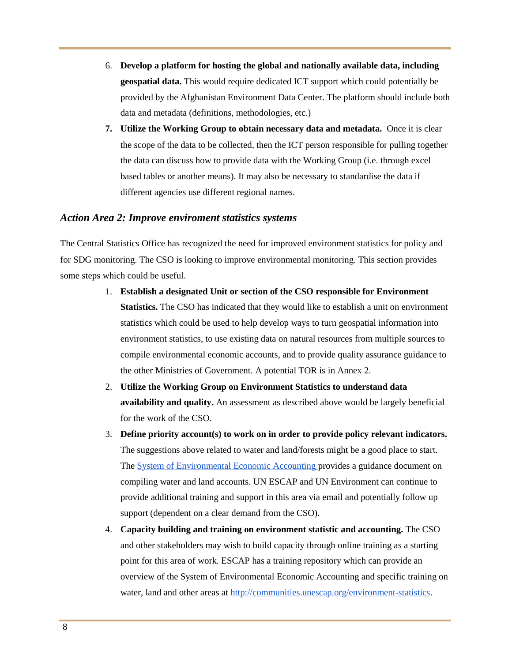- 6. **Develop a platform for hosting the global and nationally available data, including geospatial data.** This would require dedicated ICT support which could potentially be provided by the Afghanistan Environment Data Center. The platform should include both data and metadata (definitions, methodologies, etc.)
- **7. Utilize the Working Group to obtain necessary data and metadata.** Once it is clear the scope of the data to be collected, then the ICT person responsible for pulling together the data can discuss how to provide data with the Working Group (i.e. through excel based tables or another means). It may also be necessary to standardise the data if different agencies use different regional names.

#### *Action Area 2: Improve enviroment statistics systems*

The Central Statistics Office has recognized the need for improved environment statistics for policy and for SDG monitoring. The CSO is looking to improve environmental monitoring. This section provides some steps which could be useful.

- 1. **Establish a designated Unit or section of the CSO responsible for Environment Statistics.** The CSO has indicated that they would like to establish a unit on environment statistics which could be used to help develop ways to turn geospatial information into environment statistics, to use existing data on natural resources from multiple sources to compile environmental economic accounts, and to provide quality assurance guidance to the other Ministries of Government. A potential TOR is in Annex 2.
- 2. **Utilize the Working Group on Environment Statistics to understand data availability and quality.** An assessment as described above would be largely beneficial for the work of the CSO.
- 3. **Define priority account(s) to work on in order to provide policy relevant indicators.**  The suggestions above related to water and land/forests might be a good place to start. The [System of Environmental Economic Accounting p](https://unstats.un.org/unsd/envaccounting/seea.asp)rovides a guidance document on compiling water and land accounts. UN ESCAP and UN Environment can continue to provide additional training and support in this area via email and potentially follow up support (dependent on a clear demand from the CSO).
- 4. **Capacity building and training on environment statistic and accounting.** The CSO and other stakeholders may wish to build capacity through online training as a starting point for this area of work. ESCAP has a training repository which can provide an overview of the System of Environmental Economic Accounting and specific training on water, land and other areas at [http://communities.unescap.org/environment-statistics.](http://communities.unescap.org/environment-statistics)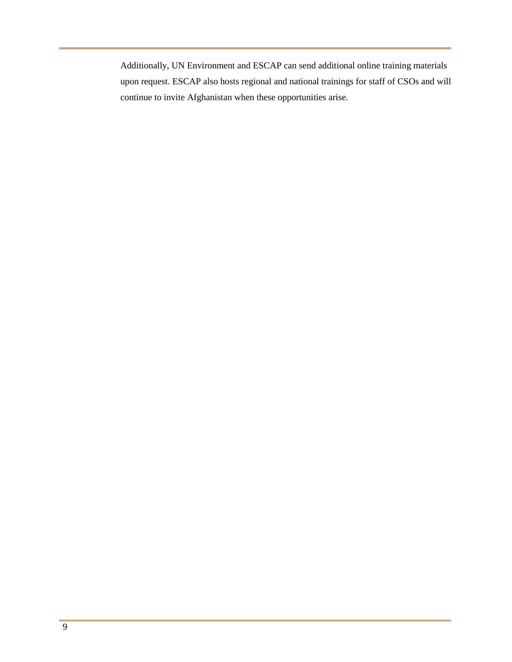Additionally, UN Environment and ESCAP can send additional online training materials upon request. ESCAP also hosts regional and national trainings for staff of CSOs and will continue to invite Afghanistan when these opportunities arise.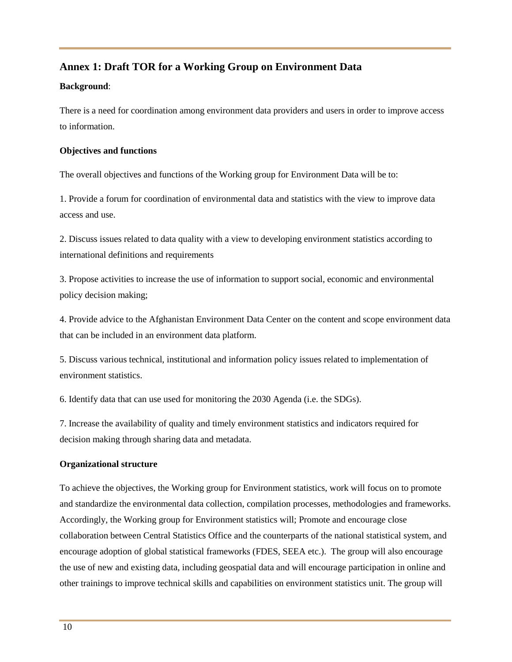# **Annex 1: Draft TOR for a Working Group on Environment Data**

#### **Background**:

There is a need for coordination among environment data providers and users in order to improve access to information.

#### **Objectives and functions**

The overall objectives and functions of the Working group for Environment Data will be to:

1. Provide a forum for coordination of environmental data and statistics with the view to improve data access and use.

2. Discuss issues related to data quality with a view to developing environment statistics according to international definitions and requirements

3. Propose activities to increase the use of information to support social, economic and environmental policy decision making;

4. Provide advice to the Afghanistan Environment Data Center on the content and scope environment data that can be included in an environment data platform.

5. Discuss various technical, institutional and information policy issues related to implementation of environment statistics.

6. Identify data that can use used for monitoring the 2030 Agenda (i.e. the SDGs).

7. Increase the availability of quality and timely environment statistics and indicators required for decision making through sharing data and metadata.

## **Organizational structure**

To achieve the objectives, the Working group for Environment statistics, work will focus on to promote and standardize the environmental data collection, compilation processes, methodologies and frameworks. Accordingly, the Working group for Environment statistics will; Promote and encourage close collaboration between Central Statistics Office and the counterparts of the national statistical system, and encourage adoption of global statistical frameworks (FDES, SEEA etc.). The group will also encourage the use of new and existing data, including geospatial data and will encourage participation in online and other trainings to improve technical skills and capabilities on environment statistics unit. The group will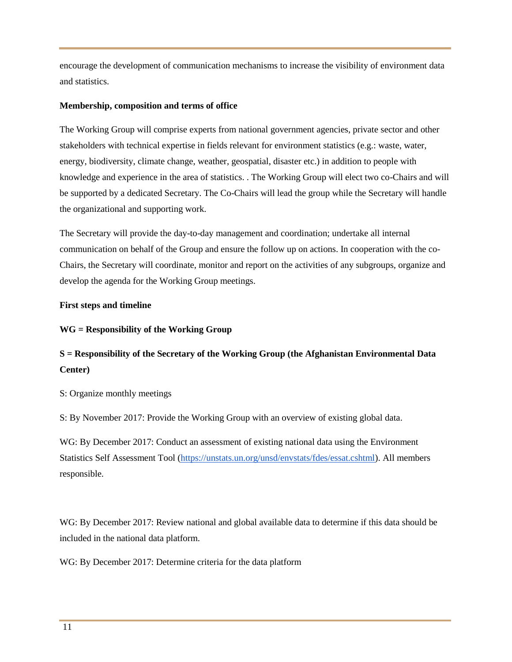encourage the development of communication mechanisms to increase the visibility of environment data and statistics.

#### **Membership, composition and terms of office**

The Working Group will comprise experts from national government agencies, private sector and other stakeholders with technical expertise in fields relevant for environment statistics (e.g.: waste, water, energy, biodiversity, climate change, weather, geospatial, disaster etc.) in addition to people with knowledge and experience in the area of statistics. . The Working Group will elect two co-Chairs and will be supported by a dedicated Secretary. The Co-Chairs will lead the group while the Secretary will handle the organizational and supporting work.

The Secretary will provide the day-to-day management and coordination; undertake all internal communication on behalf of the Group and ensure the follow up on actions. In cooperation with the co-Chairs, the Secretary will coordinate, monitor and report on the activities of any subgroups, organize and develop the agenda for the Working Group meetings.

#### **First steps and timeline**

#### **WG = Responsibility of the Working Group**

# **S = Responsibility of the Secretary of the Working Group (the Afghanistan Environmental Data Center)**

S: Organize monthly meetings

S: By November 2017: Provide the Working Group with an overview of existing global data.

WG: By December 2017: Conduct an assessment of existing national data using the Environment Statistics Self Assessment Tool [\(https://unstats.un.org/unsd/envstats/fdes/essat.cshtml\)](https://unstats.un.org/unsd/envstats/fdes/essat.cshtml). All members responsible.

WG: By December 2017: Review national and global available data to determine if this data should be included in the national data platform.

WG: By December 2017: Determine criteria for the data platform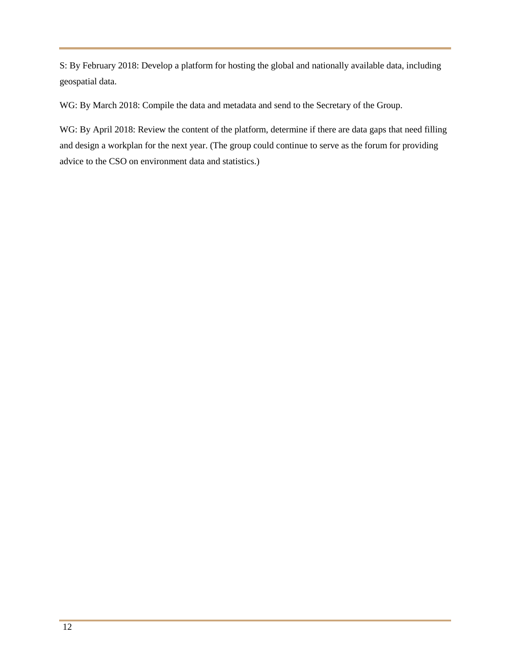S: By February 2018: Develop a platform for hosting the global and nationally available data, including geospatial data.

WG: By March 2018: Compile the data and metadata and send to the Secretary of the Group.

WG: By April 2018: Review the content of the platform, determine if there are data gaps that need filling and design a workplan for the next year. (The group could continue to serve as the forum for providing advice to the CSO on environment data and statistics.)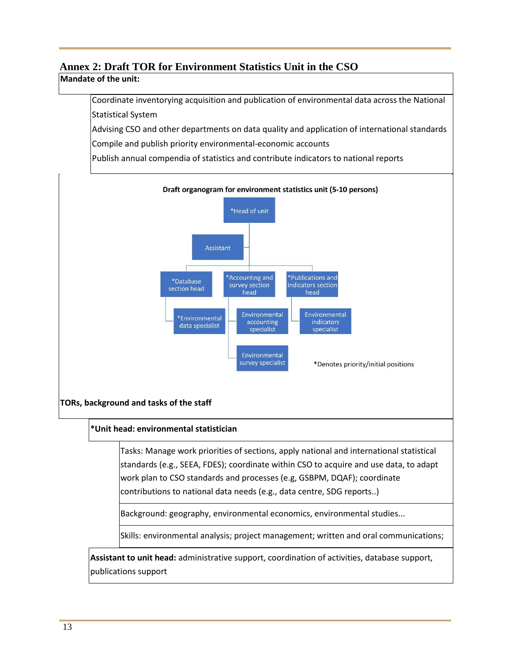# **Annex 2: Draft TOR for Environment Statistics Unit in the CSO**

# **Mandate of the unit:**

Coordinate inventorying acquisition and publication of environmental data across the National Statistical System

Advising CSO and other departments on data quality and application of international standards

Compile and publish priority environmental-economic accounts

Publish annual compendia of statistics and contribute indicators to national reports

Draft organogram for environment statistics unit (5-10 persons)



## **TORs, background and tasks of the staff**

## **\*Unit head: environmental statistician**

Tasks: Manage work priorities of sections, apply national and international statistical standards (e.g., SEEA, FDES); coordinate within CSO to acquire and use data, to adapt work plan to CSO standards and processes (e.g, GSBPM, DQAF); coordinate contributions to national data needs (e.g., data centre, SDG reports..)

Background: geography, environmental economics, environmental studies...

Skills: environmental analysis; project management; written and oral communications;

**Assistant to unit head:** administrative support, coordination of activities, database support, publications support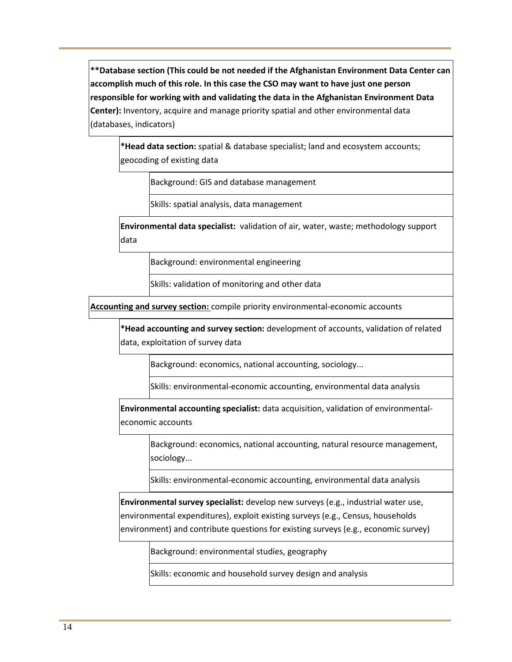**\*\*Database section (This could be not needed if the Afghanistan Environment Data Center can accomplish much of this role. In this case the CSO may want to have just one person responsible for working with and validating the data in the Afghanistan Environment Data Center):** Inventory, acquire and manage priority spatial and other environmental data (databases, indicators)

**\*Head data section:** spatial & database specialist; land and ecosystem accounts; geocoding of existing data

Background: GIS and database management

Skills: spatial analysis, data management

**Environmental data specialist:** validation of air, water, waste; methodology support data

Background: environmental engineering

Skills: validation of monitoring and other data

**Accounting and survey section:** compile priority environmental-economic accounts

**\*Head accounting and survey section:** development of accounts, validation of related data, exploitation of survey data

Background: economics, national accounting, sociology...

Skills: environmental-economic accounting, environmental data analysis

**Environmental accounting specialist:** data acquisition, validation of environmentaleconomic accounts

Background: economics, national accounting, natural resource management, sociology...

Skills: environmental-economic accounting, environmental data analysis

**Environmental survey specialist:** develop new surveys (e.g., industrial water use, environmental expenditures), exploit existing surveys (e.g., Census, households environment) and contribute questions for existing surveys (e.g., economic survey)

Background: environmental studies, geography

Skills: economic and household survey design and analysis